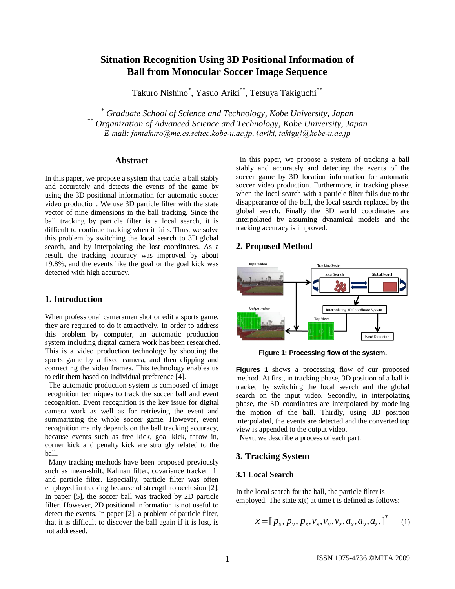# **Situation Recognition Using 3D Positional Information of Ball from Monocular Soccer Image Sequence**

Takuro Nishino\* , Yasuo Ariki\*\* , Tetsuya Takiguchi\*\*

*\* Graduate School of Science and Technology, Kobe University, Japan \*\* Organization of Advanced Science and Technology, Kobe University, Japan E-mail: fantakuro@me.cs.scitec.kobe-u.ac.jp, {ariki, takigu}@kobe-u.ac.jp*

### **Abstract**

In this paper, we propose a system that tracks a ball stably and accurately and detects the events of the game by using the 3D positional information for automatic soccer video production. We use 3D particle filter with the state vector of nine dimensions in the ball tracking. Since the ball tracking by particle filter is a local search, it is difficult to continue tracking when it fails. Thus, we solve this problem by switching the local search to 3D global search, and by interpolating the lost coordinates. As a result, the tracking accuracy was improved by about 19.8%, and the events like the goal or the goal kick was detected with high accuracy.

### **1. Introduction**

When professional cameramen shot or edit a sports game, they are required to do it attractively. In order to address this problem by computer, an automatic production system including digital camera work has been researched. This is a video production technology by shooting the sports game by a fixed camera, and then clipping and connecting the video frames. This technology enables us to edit them based on individual preference [4].

The automatic production system is composed of image recognition techniques to track the soccer ball and event recognition. Event recognition is the key issue for digital camera work as well as for retrieving the event and summarizing the whole soccer game. However, event recognition mainly depends on the ball tracking accuracy, because events such as free kick, goal kick, throw in, corner kick and penalty kick are strongly related to the ball.

Many tracking methods have been proposed previously such as mean-shift, Kalman filter, covariance tracker [1] and particle filter. Especially, particle filter was often employed in tracking because of strength to occlusion [2]. In paper [5], the soccer ball was tracked by 2D particle filter. However, 2D positional information is not useful to detect the events. In paper [2], a problem of particle filter, that it is difficult to discover the ball again if it is lost, is not addressed.

In this paper, we propose a system of tracking a ball stably and accurately and detecting the events of the soccer game by 3D location information for automatic soccer video production. Furthermore, in tracking phase, when the local search with a particle filter fails due to the disappearance of the ball, the local search replaced by the global search. Finally the 3D world coordinates are interpolated by assuming dynamical models and the tracking accuracy is improved.

### **2. Proposed Method**



**Figure 1: Processing flow of the system.**

**Figures 1** shows a processing flow of our proposed method. At first, in tracking phase, 3D position of a ball is tracked by switching the local search and the global search on the input video. Secondly, in interpolating phase, the 3D coordinates are interpolated by modeling the motion of the ball. Thirdly, using 3D position interpolated, the events are detected and the converted top view is appended to the output video.

Next, we describe a process of each part.

#### **3. Tracking System**

### **3.1 Local Search**

In the local search for the ball, the particle filter is employed. The state x(t) at time t is defined as follows:

$$
x = [p_x, p_y, p_z, v_x, v_y, v_z, a_x, a_y, a_z, ]^T
$$
 (1)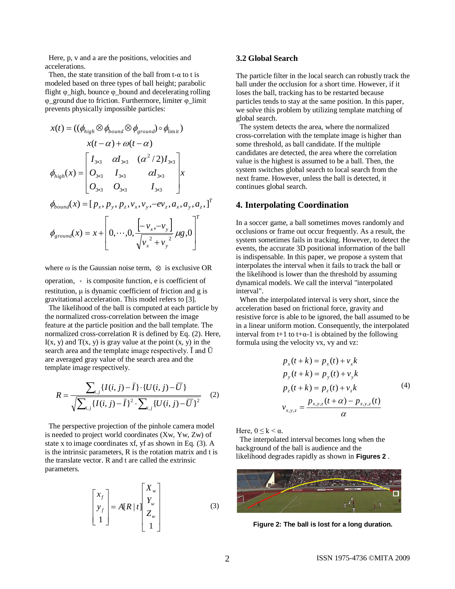Here, p, v and a are the positions, velocities and accelerations.

Then, the state transition of the ball from t- $\alpha$  to t is modeled based on three types of ball height; parabolic flight  $\varphi$  high, bounce  $\varphi$  bound and decelerating rolling φ\_ground due to friction. Furthermore, limiter φ\_limit prevents physically impossible particles:

$$
x(t) = ((\phi_{high} \otimes \phi_{bound} \otimes \phi_{ground}) \circ \phi_{limit})
$$
  
\n
$$
x(t - \alpha) + \omega(t - \alpha)
$$
  
\n
$$
\phi_{high}(x) = \begin{bmatrix} I_{3*3} & \alpha I_{3*3} & (\alpha^2 / 2)I_{3*3} \\ O_{3*3} & I_{3*3} & \alpha I_{3*3} \end{bmatrix} x
$$
  
\n
$$
\phi_{bound}(x) = [p_x, p_y, p_z, v_x, v_y, -ev_z, a_x, a_y, a_z, ]^T
$$
  
\n
$$
\phi_{ground}(x) = x + \begin{bmatrix} -v_x, -v_y \\ 0, \cdots, 0, \frac{[-v_x, -v_y]}{[v_x^2 + v_y^2]} \mu g, 0 \end{bmatrix}^T
$$

where  $\omega$  is the Gaussian noise term,  $\otimes$  is exclusive OR

operation, ⋄ is composite function, e is coefficient of restitution, μ is dynamic coefficient of friction and g is gravitational acceleration. This model refers to [3].

The likelihood of the ball is computed at each particle by the normalized cross-correlation between the image feature at the particle position and the ball template. The normalized cross-correlation R is defined by Eq. (2). Here,  $I(x, y)$  and  $T(x, y)$  is gray value at the point  $(x, y)$  in the search area and the template image respectively. Ī and Ū are averaged gray value of the search area and the template image respectively.

$$
R = \frac{\sum_{i,j} \{ I(i,j) - \bar{I} \} \cdot \{ U(i,j) - \bar{U} \}}{\sqrt{\sum_{i,j} \{ I(i,j) - \bar{I} \}^2 \cdot \sum_{i,j} \{ U(i,j) - \bar{U} \}^2}}
$$
(2)

The perspective projection of the pinhole camera model is needed to project world coordinates (Xw, Yw, Zw) of state x to image coordinates xf, yf as shown in Eq. (3). A is the intrinsic parameters, R is the rotation matrix and t is the translate vector. R and t are called the extrinsic parameters.

$$
\begin{bmatrix} x_f \\ y_f \\ 1 \end{bmatrix} = A[R \mid t] \begin{bmatrix} X_w \\ Y_w \\ Z_w \\ 1 \end{bmatrix}
$$
 (3)

### **3.2 Global Search**

The particle filter in the local search can robustly track the ball under the occlusion for a short time. However, if it loses the ball, tracking has to be restarted because particles tends to stay at the same position. In this paper, we solve this problem by utilizing template matching of global search.

The system detects the area, where the normalized cross-correlation with the template image is higher than some threshold, as ball candidate. If the multiple candidates are detected, the area where the correlation value is the highest is assumed to be a ball. Then, the system switches global search to local search from the next frame. However, unless the ball is detected, it continues global search.

### **4. Interpolating Coordination**

In a soccer game, a ball sometimes moves randomly and occlusions or frame out occur frequently. As a result, the system sometimes fails in tracking. However, to detect the events, the accurate 3D positional information of the ball is indispensable. In this paper, we propose a system that interpolates the interval when it fails to track the ball or the likelihood is lower than the threshold by assuming dynamical models. We call the interval "interpolated interval".

When the interpolated interval is very short, since the acceleration based on frictional force, gravity and resistive force is able to be ignored, the ball assumed to be in a linear uniform motion. Consequently, the interpolated interval from t+1 to t+ $\alpha$ -1 is obtained by the following formula using the velocity vx, vy and vz:

$$
p_x(t + k) = p_x(t) + v_x k
$$
  
\n
$$
p_y(t + k) = p_y(t) + v_y k
$$
  
\n
$$
p_z(t + k) = p_z(t) + v_z k
$$
 (4)  
\n
$$
v_{x,y,z} = \frac{p_{x,y,z}(t + \alpha) - p_{x,y,z}(t)}{\alpha}
$$

Here,  $0 \le k \le \alpha$ .

The interpolated interval becomes long when the background of the ball is audience and the likelihood degrades rapidly as shown in **Figures 2** .



**Figure 2: The ball is lost for a long duration.**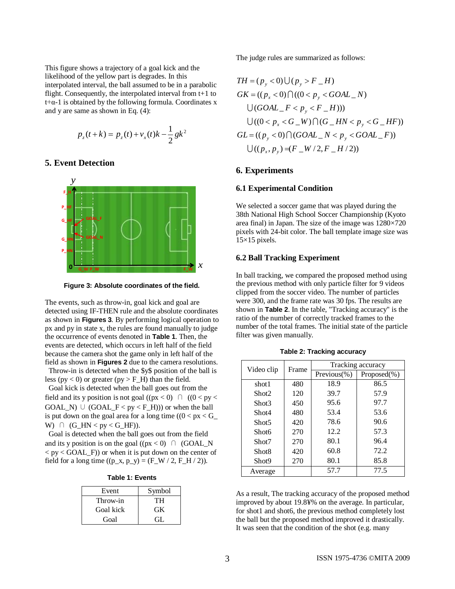This figure shows a trajectory of a goal kick and the likelihood of the yellow part is degrades. In this interpolated interval, the ball assumed to be in a parabolic flight. Consequently, the interpolated interval from t+1 to  $t+\alpha-1$  is obtained by the following formula. Coordinates x and y are same as shown in Eq. (4):

$$
p_z(t+k) = p_z(t) + v_x(t)k - \frac{1}{2}gk^2
$$

## **5. Event Detection**



**Figure 3: Absolute coordinates of the field.**

The events, such as throw-in, goal kick and goal are detected using IF-THEN rule and the absolute coordinates as shown in **Figures 3**. By performing logical operation to px and py in state x, the rules are found manually to judge the occurrence of events denoted in **Table 1**. Then, the events are detected, which occurs in left half of the field because the camera shot the game only in left half of the field as shown in **Figures 2** due to the camera resolutions.

Throw-in is detected when the \$y\$ position of the ball is less ( $py < 0$ ) or greater ( $py > F_H$ ) than the field.

Goal kick is detected when the ball goes out from the field and its y position is not goal ( $(px < 0)$ ) ( $(0 < py <$  $GOAL_N) \cup (GOAL_F < py < F_H))$  or when the ball is put down on the goal area for a long time  $((0 < px < G$ W)  $\cap$   $(G_HN < py < G_HF)$ .

Goal is detected when the ball goes out from the field and its y position is on the goal ( $(px < 0)$ )  $\cap$  (GOAL\_N)  $<$  py  $<$  GOAL  $\bar{F}$ ) or when it is put down on the center of field for a long time  $((p_x, p_y) = (F_W / 2, F_H / 2)).$ 

|  |  |  | <b>Table 1: Events</b> |
|--|--|--|------------------------|
|--|--|--|------------------------|

| Event     | Symbol |  |
|-----------|--------|--|
| Throw-in  | TН     |  |
| Goal kick | GK.    |  |
| Goal      | Gil    |  |

The judge rules are summarized as follows:

$$
TH = (p_y < 0) \cup (p_y > F_H)
$$
\n
$$
GK = ((p_x < 0) \cap ((0 < p_y < GOAL_N))
$$
\n
$$
\cup (GOAL_F < p_y < F_H)))
$$
\n
$$
\cup ((0 < p_x < G_W) \cap (G_HN < p_y < G_HF))
$$
\n
$$
GL = ((p_y < 0) \cap (GOAL_N < p_y < GOAL_F))
$$
\n
$$
\cup ((p_x, p_y) = (F_W/2, F_H/2))
$$

### **6. Experiments**

#### **6.1 Experimental Condition**

We selected a soccer game that was played during the 38th National High School Soccer Championship (Kyoto area final) in Japan. The size of the image was 1280×720 pixels with 24-bit color. The ball template image size was  $15\times15$  pixels.

### **6.2 Ball Tracking Experiment**

In ball tracking, we compared the proposed method using the previous method with only particle filter for 9 videos clipped from the soccer video. The number of particles were 300, and the frame rate was 30 fps. The results are shown in **Table 2**. In the table, "Tracking accuracy" is the ratio of the number of correctly tracked frames to the number of the total frames. The initial state of the particle filter was given manually.

| Video clip        | Frame | Tracking accuracy |                 |  |
|-------------------|-------|-------------------|-----------------|--|
|                   |       | Previous $(\% )$  | $Proposed(\% )$ |  |
| shot1             | 480   | 18.9              | 86.5            |  |
| Shot <sub>2</sub> | 120   | 39.7              | 57.9            |  |
| Shot <sup>3</sup> | 450   | 95.6              | 97.7            |  |
| Shot4             | 480   | 53.4              | 53.6            |  |
| Shot5             | 420   | 78.6              | 90.6            |  |
| Shot6             | 270   | 12.2              | 57.3            |  |
| Shot7             | 270   | 80.1              | 96.4            |  |
| Shot <sub>8</sub> | 420   | 60.8              | 72.2            |  |
| Shot9             | 270   | 80.1              | 85.8            |  |
| Average           |       | 57.7              | 77.5            |  |

**Table 2: Tracking accuracy**

As a result, The tracking accuracy of the proposed method improved by about 19.8¥% on the average. In particular, for shot1 and shot6, the previous method completely lost the ball but the proposed method improved it drastically. It was seen that the condition of the shot (e.g. many